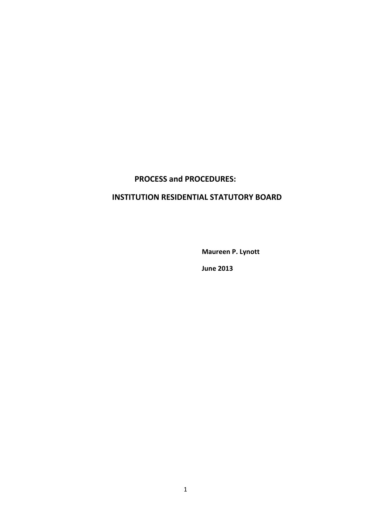# **PROCESS and PROCEDURES:**

# **INSTITUTION RESIDENTIAL STATUTORY BOARD**

**Maureen P. Lynott**

**June 2013**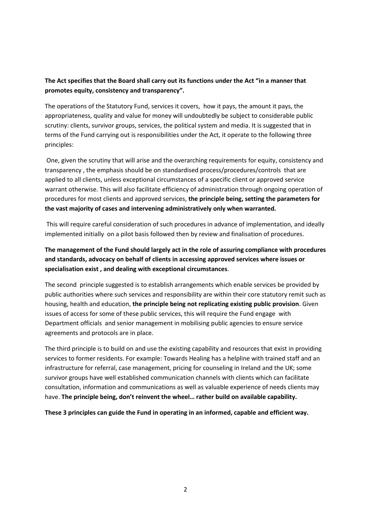# **The Act specifies that the Board shall carry out its functions under the Act "in a manner that promotes equity, consistency and transparency".**

The operations of the Statutory Fund, services it covers, how it pays, the amount it pays, the appropriateness, quality and value for money will undoubtedly be subject to considerable public scrutiny: clients, survivor groups, services, the political system and media. It is suggested that in terms of the Fund carrying out is responsibilities under the Act, it operate to the following three principles:

One, given the scrutiny that will arise and the overarching requirements for equity, consistency and transparency , the emphasis should be on standardised process/procedures/controls that are applied to all clients, unless exceptional circumstances of a specific client or approved service warrant otherwise. This will also facilitate efficiency of administration through ongoing operation of procedures for most clients and approved services, **the principle being, setting the parameters for the vast majority of cases and intervening administratively only when warranted.**

This will require careful consideration of such procedures in advance of implementation, and ideally implemented initially on a pilot basis followed then by review and finalisation of procedures.

# **The management of the Fund should largely act in the role of assuring compliance with procedures and standards, advocacy on behalf of clients in accessing approved services where issues or specialisation exist , and dealing with exceptional circumstances**.

The second principle suggested is to establish arrangements which enable services be provided by public authorities where such services and responsibility are within their core statutory remit such as housing, health and education, **the principle being not replicating existing public provision**. Given issues of access for some of these public services, this will require the Fund engage with Department officials and senior management in mobilising public agencies to ensure service agreements and protocols are in place.

The third principle is to build on and use the existing capability and resources that exist in providing services to former residents. For example: Towards Healing has a helpline with trained staff and an infrastructure for referral, case management, pricing for counseling in Ireland and the UK; some survivor groups have well established communication channels with clients which can facilitate consultation, information and communications as well as valuable experience of needs clients may have. **The principle being, don't reinvent the wheel… rather build on available capability.**

**These 3 principles can guide the Fund in operating in an informed, capable and efficient way.**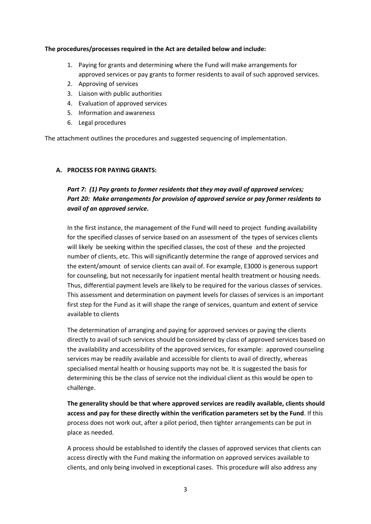### **The procedures/processes required in the Act are detailed below and include:**

- 1. Paying for grants and determining where the Fund will make arrangements for approved services or pay grants to former residents to avail of such approved services.
- 2. Approving of services
- 3. Liaison with public authorities
- 4. Evaluation of approved services
- 5. Information and awareness
- 6. Legal procedures

The attachment outlines the procedures and suggested sequencing of implementation.

### **A. PROCESS FOR PAYING GRANTS:**

# *Part 7: (1) Pay grants to former residents that they may avail of approved services; Part 20: Make arrangements for provision of approved service or pay former residents to avail of an approved service.*

In the first instance, the management of the Fund will need to project funding availability for the specified classes of service based on an assessment of the types of services clients will likely be seeking within the specified classes, the cost of these and the projected number of clients, etc. This will significantly determine the range of approved services and the extent/amount of service clients can avail of. For example, E3000 is generous support for counseling, but not necessarily for inpatient mental health treatment or housing needs. Thus, differential payment levels are likely to be required for the various classes of services. This assessment and determination on payment levels for classes of services is an important first step for the Fund as it will shape the range of services, quantum and extent of service available to clients

The determination of arranging and paying for approved services or paying the clients directly to avail of such services should be considered by class of approved services based on the availability and accessibility of the approved services, for example: approved counseling services may be readily available and accessible for clients to avail of directly, whereas specialised mental health or housing supports may not be. It is suggested the basis for determining this be the class of service not the individual client as this would be open to challenge.

**The generality should be that where approved services are readily available, clients should access and pay for these directly within the verification parameters set by the Fund**. If this process does not work out, after a pilot period, then tighter arrangements can be put in place as needed.

A process should be established to identify the classes of approved services that clients can access directly with the Fund making the information on approved services available to clients, and only being involved in exceptional cases. This procedure will also address any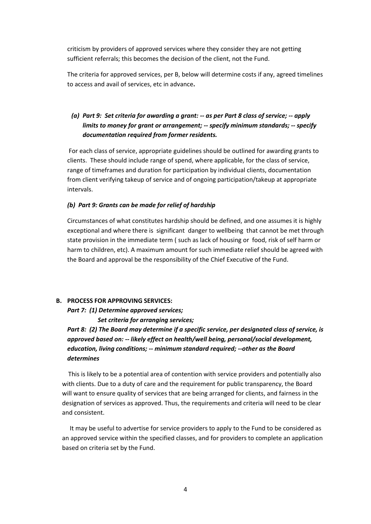criticism by providers of approved services where they consider they are not getting sufficient referrals; this becomes the decision of the client, not the Fund.

The criteria for approved services, per B, below will determine costs if any, agreed timelines to access and avail of services, etc in advance**.** 

# *(a) Part 9: Set criteria for awarding a grant: -- as per Part 8 class of service; -- apply limits to money for grant or arrangement; -- specify minimum standards; -- specify documentation required from former residents.*

For each class of service, appropriate guidelines should be outlined for awarding grants to clients. These should include range of spend, where applicable, for the class of service, range of timeframes and duration for participation by individual clients, documentation from client verifying takeup of service and of ongoing participation/takeup at appropriate intervals.

### *(b) Part 9: Grants can be made for relief of hardship*

Circumstances of what constitutes hardship should be defined, and one assumes it is highly exceptional and where there is significant danger to wellbeing that cannot be met through state provision in the immediate term ( such as lack of housing or food, risk of self harm or harm to children, etc). A maximum amount for such immediate relief should be agreed with the Board and approval be the responsibility of the Chief Executive of the Fund.

### **B. PROCESS FOR APPROVING SERVICES:**

*Part 7: (1) Determine approved services;*

 *Set criteria for arranging services;*

*Part 8: (2) The Board may determine if a specific service, per designated class of service, is approved based on: -- likely effect on health/well being, personal/social development, education, living conditions; -- minimum standard required; --other as the Board determines*

This is likely to be a potential area of contention with service providers and potentially also with clients. Due to a duty of care and the requirement for public transparency, the Board will want to ensure quality of services that are being arranged for clients, and fairness in the designation of services as approved. Thus, the requirements and criteria will need to be clear and consistent.

It may be useful to advertise for service providers to apply to the Fund to be considered as an approved service within the specified classes, and for providers to complete an application based on criteria set by the Fund.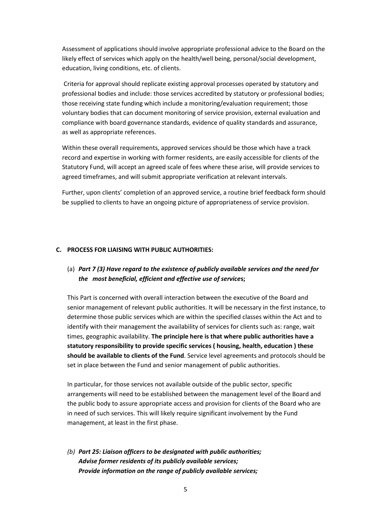Assessment of applications should involve appropriate professional advice to the Board on the likely effect of services which apply on the health/well being, personal/social development, education, living conditions, etc. of clients.

Criteria for approval should replicate existing approval processes operated by statutory and professional bodies and include: those services accredited by statutory or professional bodies; those receiving state funding which include a monitoring/evaluation requirement; those voluntary bodies that can document monitoring of service provision, external evaluation and compliance with board governance standards, evidence of quality standards and assurance, as well as appropriate references.

Within these overall requirements, approved services should be those which have a track record and expertise in working with former residents, are easily accessible for clients of the Statutory Fund, will accept an agreed scale of fees where these arise, will provide services to agreed timeframes, and will submit appropriate verification at relevant intervals.

Further, upon clients' completion of an approved service, a routine brief feedback form should be supplied to clients to have an ongoing picture of appropriateness of service provision.

#### **C. PROCESS FOR LIAISING WITH PUBLIC AUTHORITIES:**

# (a) *Part 7 (3) Have regard to the existence of publicly available services and the need for the most beneficial, efficient and effective use of service***s;**

This Part is concerned with overall interaction between the executive of the Board and senior management of relevant public authorities. It will be necessary in the first instance, to determine those public services which are within the specified classes within the Act and to identify with their management the availability of services for clients such as: range, wait times, geographic availability. **The principle here is that where public authorities have a statutory responsibility to provide specific services ( housing, health, education ) these should be available to clients of the Fund**. Service level agreements and protocols should be set in place between the Fund and senior management of public authorities.

In particular, for those services not available outside of the public sector, specific arrangements will need to be established between the management level of the Board and the public body to assure appropriate access and provision for clients of the Board who are in need of such services. This will likely require significant involvement by the Fund management, at least in the first phase.

*(b) Part 25: Liaison officers to be designated with public authorities; Advise former residents of its publicly available services; Provide information on the range of publicly available services;*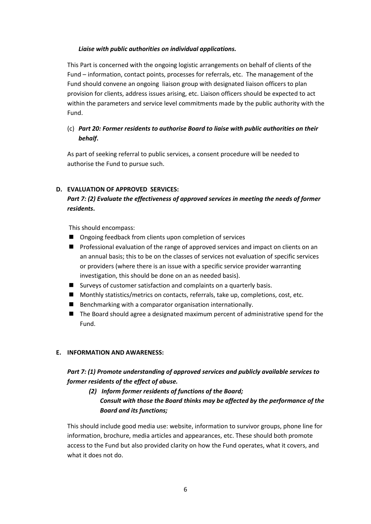### *Liaise with public authorities on individual applications.*

This Part is concerned with the ongoing logistic arrangements on behalf of clients of the Fund – information, contact points, processes for referrals, etc. The management of the Fund should convene an ongoing liaison group with designated liaison officers to plan provision for clients, address issues arising, etc. Liaison officers should be expected to act within the parameters and service level commitments made by the public authority with the Fund.

## (c) *Part 20: Former residents to authorise Board to liaise with public authorities on their behalf***.**

As part of seeking referral to public services, a consent procedure will be needed to authorise the Fund to pursue such.

### **D. EVALUATION OF APPROVED SERVICES:**

# *Part 7: (2) Evaluate the effectiveness of approved services in meeting the needs of former residents***.**

This should encompass:

- Ongoing feedback from clients upon completion of services
- **Professional evaluation of the range of approved services and impact on clients on an** an annual basis; this to be on the classes of services not evaluation of specific services or providers (where there is an issue with a specific service provider warranting investigation, this should be done on an as needed basis).
- Surveys of customer satisfaction and complaints on a quarterly basis.
- Monthly statistics/metrics on contacts, referrals, take up, completions, cost, etc.
- Benchmarking with a comparator organisation internationally.
- The Board should agree a designated maximum percent of administrative spend for the Fund.

### **E. INFORMATION AND AWARENESS:**

# *Part 7: (1) Promote understanding of approved services and publicly available services to former residents of the effect of abuse.*

# *(2) Inform former residents of functions of the Board; Consult with those the Board thinks may be affected by the performance of the Board and its functions;*

This should include good media use: website, information to survivor groups, phone line for information, brochure, media articles and appearances, etc. These should both promote access to the Fund but also provided clarity on how the Fund operates, what it covers, and what it does not do.